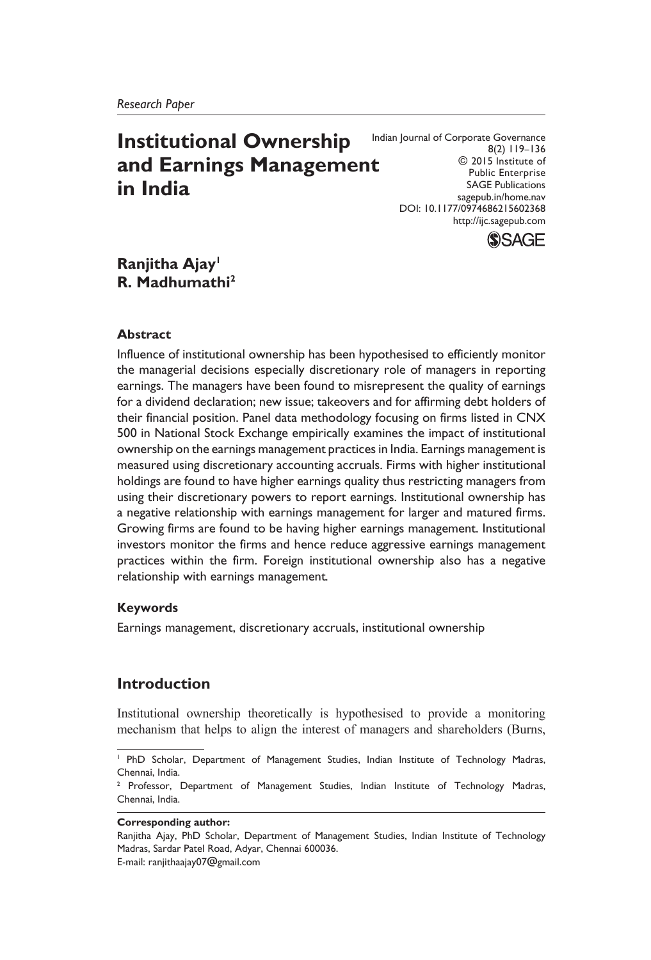# **Institutional Ownership and Earnings Management in India**

Indian Journal of Corporate Governance 8(2) 119–136 © 2015 Institute of Public Enterprise SAGE Publications sagepub.in/home.nav DOI: 10.1177/0974686215602368 http://ijc.sagepub.com



# **Ranjitha Ajay<sup>1</sup> R. Madhumathi<sup>2</sup>**

# **Abstract**

Influence of institutional ownership has been hypothesised to efficiently monitor the managerial decisions especially discretionary role of managers in reporting earnings. The managers have been found to misrepresent the quality of earnings for a dividend declaration; new issue; takeovers and for affirming debt holders of their financial position. Panel data methodology focusing on firms listed in CNX 500 in National Stock Exchange empirically examines the impact of institutional ownership on the earnings management practices in India. Earnings management is measured using discretionary accounting accruals. Firms with higher institutional holdings are found to have higher earnings quality thus restricting managers from using their discretionary powers to report earnings. Institutional ownership has a negative relationship with earnings management for larger and matured firms. Growing firms are found to be having higher earnings management. Institutional investors monitor the firms and hence reduce aggressive earnings management practices within the firm. Foreign institutional ownership also has a negative relationship with earnings management*.*

# **Keywords**

Earnings management, discretionary accruals, institutional ownership

# **Introduction**

Institutional ownership theoretically is hypothesised to provide a monitoring mechanism that helps to align the interest of managers and shareholders (Burns,

#### **Corresponding author:**

E-mail: ranjithaajay07@gmail.com

<sup>&</sup>lt;sup>1</sup> PhD Scholar, Department of Management Studies, Indian Institute of Technology Madras, Chennai, India.

<sup>2</sup> Professor, Department of Management Studies, Indian Institute of Technology Madras, Chennai, India.

Ranjitha Ajay, PhD Scholar, Department of Management Studies, Indian Institute of Technology Madras, Sardar Patel Road, Adyar, Chennai 600036.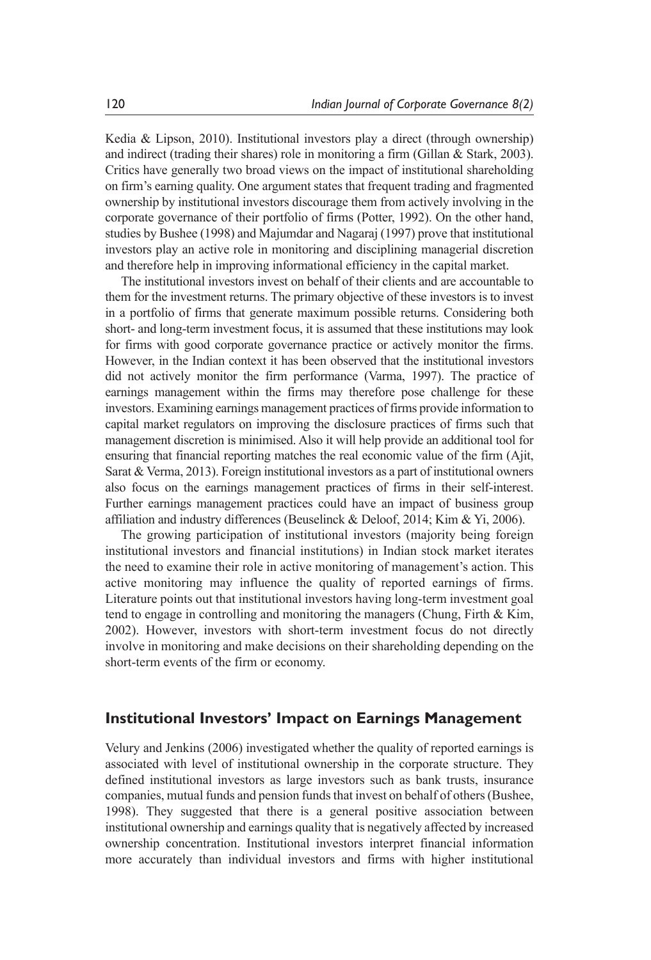Kedia & Lipson, 2010). Institutional investors play a direct (through ownership) and indirect (trading their shares) role in monitoring a firm (Gillan & Stark, 2003). Critics have generally two broad views on the impact of institutional shareholding on firm's earning quality. One argument states that frequent trading and fragmented ownership by institutional investors discourage them from actively involving in the corporate governance of their portfolio of firms (Potter, 1992). On the other hand, studies by Bushee (1998) and Majumdar and Nagaraj (1997) prove that institutional investors play an active role in monitoring and disciplining managerial discretion and therefore help in improving informational efficiency in the capital market.

The institutional investors invest on behalf of their clients and are accountable to them for the investment returns. The primary objective of these investors is to invest in a portfolio of firms that generate maximum possible returns. Considering both short- and long-term investment focus, it is assumed that these institutions may look for firms with good corporate governance practice or actively monitor the firms. However, in the Indian context it has been observed that the institutional investors did not actively monitor the firm performance (Varma, 1997). The practice of earnings management within the firms may therefore pose challenge for these investors. Examining earnings management practices of firms provide information to capital market regulators on improving the disclosure practices of firms such that management discretion is minimised. Also it will help provide an additional tool for ensuring that financial reporting matches the real economic value of the firm (Ajit, Sarat & Verma, 2013). Foreign institutional investors as a part of institutional owners also focus on the earnings management practices of firms in their self-interest. Further earnings management practices could have an impact of business group affiliation and industry differences (Beuselinck & Deloof, 2014; Kim & Yi, 2006).

The growing participation of institutional investors (majority being foreign institutional investors and financial institutions) in Indian stock market iterates the need to examine their role in active monitoring of management's action. This active monitoring may influence the quality of reported earnings of firms. Literature points out that institutional investors having long-term investment goal tend to engage in controlling and monitoring the managers (Chung, Firth & Kim, 2002). However, investors with short-term investment focus do not directly involve in monitoring and make decisions on their shareholding depending on the short-term events of the firm or economy.

# **Institutional Investors' Impact on Earnings Management**

Velury and Jenkins (2006) investigated whether the quality of reported earnings is associated with level of institutional ownership in the corporate structure. They defined institutional investors as large investors such as bank trusts, insurance companies, mutual funds and pension funds that invest on behalf of others (Bushee, 1998). They suggested that there is a general positive association between institutional ownership and earnings quality that is negatively affected by increased ownership concentration. Institutional investors interpret financial information more accurately than individual investors and firms with higher institutional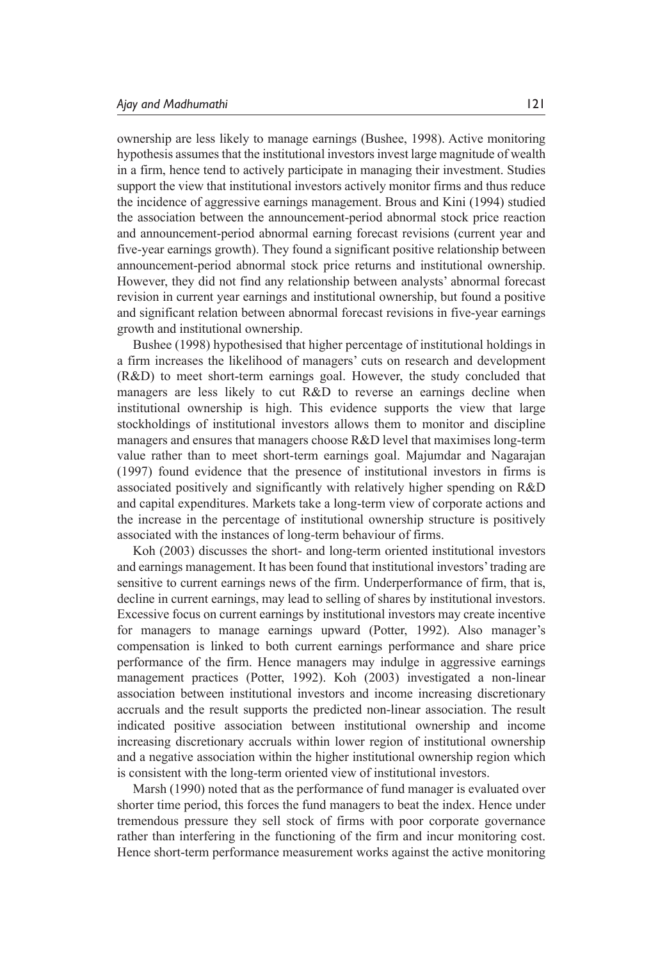ownership are less likely to manage earnings (Bushee, 1998). Active monitoring hypothesis assumes that the institutional investors invest large magnitude of wealth in a firm, hence tend to actively participate in managing their investment. Studies support the view that institutional investors actively monitor firms and thus reduce the incidence of aggressive earnings management. Brous and Kini (1994) studied the association between the announcement-period abnormal stock price reaction and announcement-period abnormal earning forecast revisions (current year and five-year earnings growth). They found a significant positive relationship between announcement-period abnormal stock price returns and institutional ownership. However, they did not find any relationship between analysts' abnormal forecast revision in current year earnings and institutional ownership, but found a positive and significant relation between abnormal forecast revisions in five-year earnings growth and institutional ownership.

Bushee (1998) hypothesised that higher percentage of institutional holdings in a firm increases the likelihood of managers' cuts on research and development (R&D) to meet short-term earnings goal. However, the study concluded that managers are less likely to cut R&D to reverse an earnings decline when institutional ownership is high. This evidence supports the view that large stockholdings of institutional investors allows them to monitor and discipline managers and ensures that managers choose R&D level that maximises long-term value rather than to meet short-term earnings goal. Majumdar and Nagarajan (1997) found evidence that the presence of institutional investors in firms is associated positively and significantly with relatively higher spending on R&D and capital expenditures. Markets take a long-term view of corporate actions and the increase in the percentage of institutional ownership structure is positively associated with the instances of long-term behaviour of firms.

Koh (2003) discusses the short- and long-term oriented institutional investors and earnings management. It has been found that institutional investors' trading are sensitive to current earnings news of the firm. Underperformance of firm, that is, decline in current earnings, may lead to selling of shares by institutional investors. Excessive focus on current earnings by institutional investors may create incentive for managers to manage earnings upward (Potter, 1992). Also manager's compensation is linked to both current earnings performance and share price performance of the firm. Hence managers may indulge in aggressive earnings management practices (Potter, 1992). Koh (2003) investigated a non-linear association between institutional investors and income increasing discretionary accruals and the result supports the predicted non-linear association. The result indicated positive association between institutional ownership and income increasing discretionary accruals within lower region of institutional ownership and a negative association within the higher institutional ownership region which is consistent with the long-term oriented view of institutional investors.

Marsh (1990) noted that as the performance of fund manager is evaluated over shorter time period, this forces the fund managers to beat the index. Hence under tremendous pressure they sell stock of firms with poor corporate governance rather than interfering in the functioning of the firm and incur monitoring cost. Hence short-term performance measurement works against the active monitoring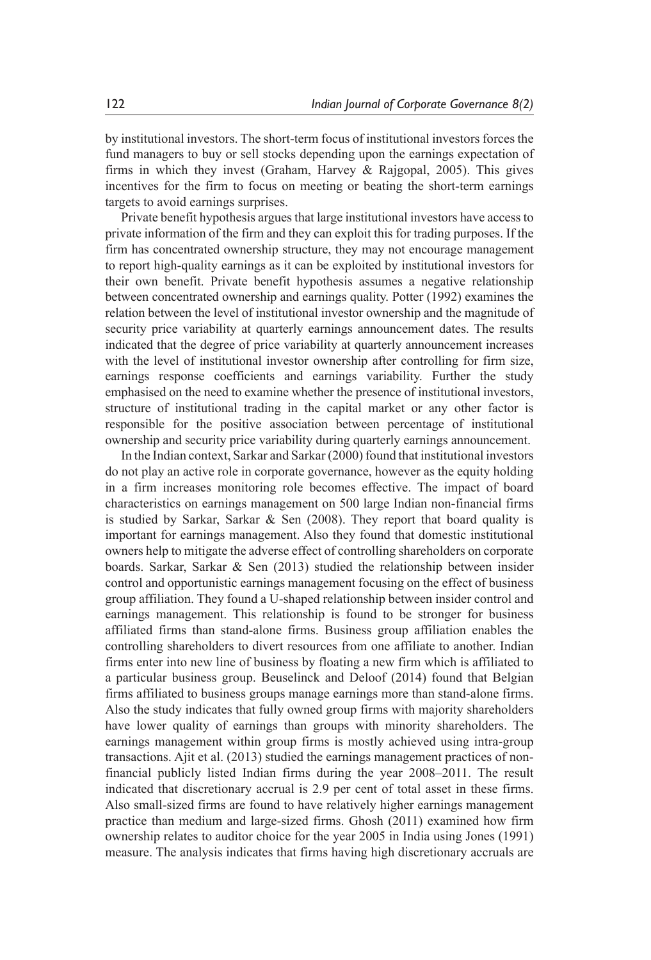by institutional investors. The short-term focus of institutional investors forces the fund managers to buy or sell stocks depending upon the earnings expectation of firms in which they invest (Graham, Harvey & Rajgopal, 2005). This gives incentives for the firm to focus on meeting or beating the short-term earnings targets to avoid earnings surprises.

Private benefit hypothesis argues that large institutional investors have access to private information of the firm and they can exploit this for trading purposes. If the firm has concentrated ownership structure, they may not encourage management to report high-quality earnings as it can be exploited by institutional investors for their own benefit. Private benefit hypothesis assumes a negative relationship between concentrated ownership and earnings quality. Potter (1992) examines the relation between the level of institutional investor ownership and the magnitude of security price variability at quarterly earnings announcement dates. The results indicated that the degree of price variability at quarterly announcement increases with the level of institutional investor ownership after controlling for firm size, earnings response coefficients and earnings variability. Further the study emphasised on the need to examine whether the presence of institutional investors, structure of institutional trading in the capital market or any other factor is responsible for the positive association between percentage of institutional ownership and security price variability during quarterly earnings announcement.

In the Indian context, Sarkar and Sarkar (2000) found that institutional investors do not play an active role in corporate governance, however as the equity holding in a firm increases monitoring role becomes effective. The impact of board characteristics on earnings management on 500 large Indian non-financial firms is studied by Sarkar, Sarkar & Sen (2008). They report that board quality is important for earnings management. Also they found that domestic institutional owners help to mitigate the adverse effect of controlling shareholders on corporate boards. Sarkar, Sarkar & Sen (2013) studied the relationship between insider control and opportunistic earnings management focusing on the effect of business group affiliation. They found a U-shaped relationship between insider control and earnings management. This relationship is found to be stronger for business affiliated firms than stand-alone firms. Business group affiliation enables the controlling shareholders to divert resources from one affiliate to another. Indian firms enter into new line of business by floating a new firm which is affiliated to a particular business group. Beuselinck and Deloof (2014) found that Belgian firms affiliated to business groups manage earnings more than stand-alone firms. Also the study indicates that fully owned group firms with majority shareholders have lower quality of earnings than groups with minority shareholders. The earnings management within group firms is mostly achieved using intra-group transactions. Ajit et al. (2013) studied the earnings management practices of nonfinancial publicly listed Indian firms during the year 2008–2011. The result indicated that discretionary accrual is 2.9 per cent of total asset in these firms. Also small-sized firms are found to have relatively higher earnings management practice than medium and large-sized firms. Ghosh (2011) examined how firm ownership relates to auditor choice for the year 2005 in India using Jones (1991) measure. The analysis indicates that firms having high discretionary accruals are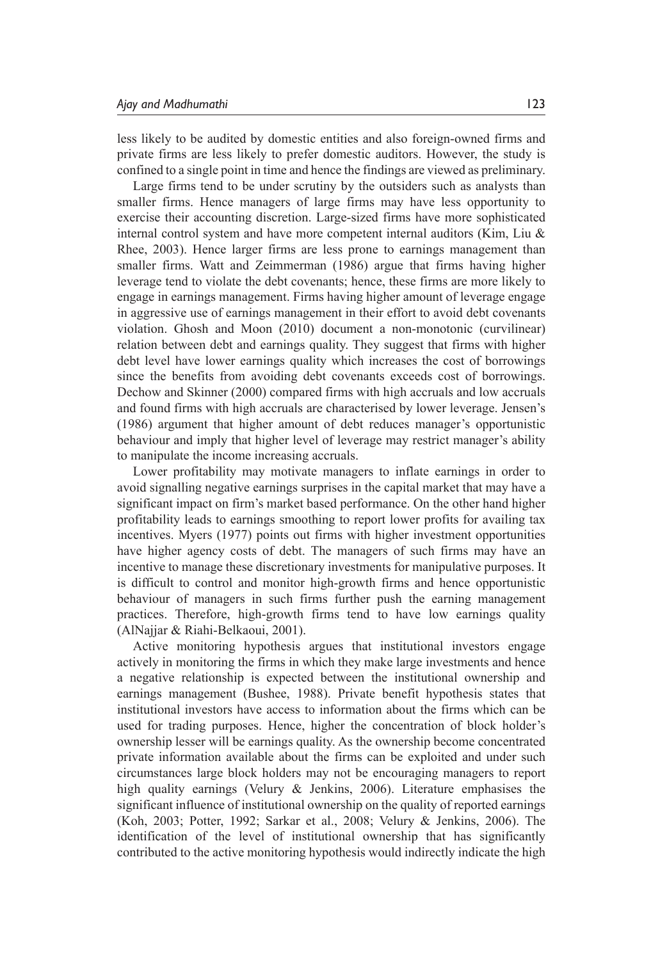less likely to be audited by domestic entities and also foreign-owned firms and private firms are less likely to prefer domestic auditors. However, the study is confined to a single point in time and hence the findings are viewed as preliminary.

Large firms tend to be under scrutiny by the outsiders such as analysts than smaller firms. Hence managers of large firms may have less opportunity to exercise their accounting discretion. Large-sized firms have more sophisticated internal control system and have more competent internal auditors (Kim, Liu & Rhee, 2003). Hence larger firms are less prone to earnings management than smaller firms. Watt and Zeimmerman (1986) argue that firms having higher leverage tend to violate the debt covenants; hence, these firms are more likely to engage in earnings management. Firms having higher amount of leverage engage in aggressive use of earnings management in their effort to avoid debt covenants violation. Ghosh and Moon (2010) document a non-monotonic (curvilinear) relation between debt and earnings quality. They suggest that firms with higher debt level have lower earnings quality which increases the cost of borrowings since the benefits from avoiding debt covenants exceeds cost of borrowings. Dechow and Skinner (2000) compared firms with high accruals and low accruals and found firms with high accruals are characterised by lower leverage. Jensen's (1986) argument that higher amount of debt reduces manager's opportunistic behaviour and imply that higher level of leverage may restrict manager's ability to manipulate the income increasing accruals.

Lower profitability may motivate managers to inflate earnings in order to avoid signalling negative earnings surprises in the capital market that may have a significant impact on firm's market based performance. On the other hand higher profitability leads to earnings smoothing to report lower profits for availing tax incentives. Myers (1977) points out firms with higher investment opportunities have higher agency costs of debt. The managers of such firms may have an incentive to manage these discretionary investments for manipulative purposes. It is difficult to control and monitor high-growth firms and hence opportunistic behaviour of managers in such firms further push the earning management practices. Therefore, high-growth firms tend to have low earnings quality (AlNajjar & Riahi-Belkaoui, 2001).

Active monitoring hypothesis argues that institutional investors engage actively in monitoring the firms in which they make large investments and hence a negative relationship is expected between the institutional ownership and earnings management (Bushee, 1988). Private benefit hypothesis states that institutional investors have access to information about the firms which can be used for trading purposes. Hence, higher the concentration of block holder's ownership lesser will be earnings quality. As the ownership become concentrated private information available about the firms can be exploited and under such circumstances large block holders may not be encouraging managers to report high quality earnings (Velury & Jenkins, 2006). Literature emphasises the significant influence of institutional ownership on the quality of reported earnings (Koh, 2003; Potter, 1992; Sarkar et al., 2008; Velury & Jenkins, 2006). The identification of the level of institutional ownership that has significantly contributed to the active monitoring hypothesis would indirectly indicate the high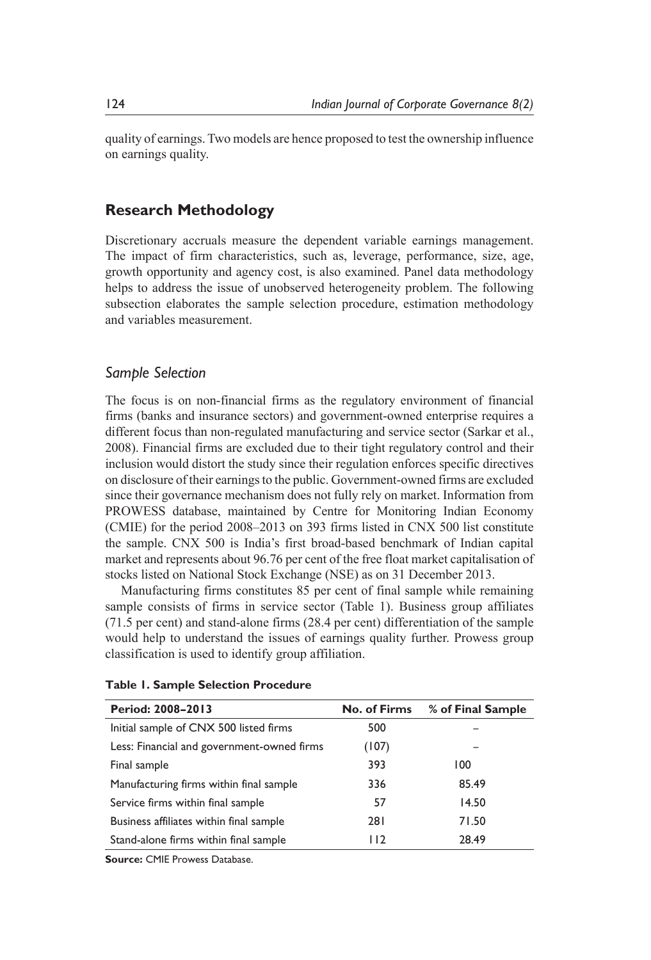quality of earnings. Two models are hence proposed to test the ownership influence on earnings quality.

# **Research Methodology**

Discretionary accruals measure the dependent variable earnings management. The impact of firm characteristics, such as, leverage, performance, size, age, growth opportunity and agency cost, is also examined. Panel data methodology helps to address the issue of unobserved heterogeneity problem. The following subsection elaborates the sample selection procedure, estimation methodology and variables measurement.

### *Sample Selection*

The focus is on non-financial firms as the regulatory environment of financial firms (banks and insurance sectors) and government-owned enterprise requires a different focus than non-regulated manufacturing and service sector (Sarkar et al., 2008). Financial firms are excluded due to their tight regulatory control and their inclusion would distort the study since their regulation enforces specific directives on disclosure of their earnings to the public. Government-owned firms are excluded since their governance mechanism does not fully rely on market. Information from PROWESS database, maintained by Centre for Monitoring Indian Economy (CMIE) for the period 2008–2013 on 393 firms listed in CNX 500 list constitute the sample. CNX 500 is India's first broad-based benchmark of Indian capital market and represents about 96.76 per cent of the free float market capitalisation of stocks listed on National Stock Exchange (NSE) as on 31 December 2013.

Manufacturing firms constitutes 85 per cent of final sample while remaining sample consists of firms in service sector (Table 1). Business group affiliates (71.5 per cent) and stand-alone firms (28.4 per cent) differentiation of the sample would help to understand the issues of earnings quality further. Prowess group classification is used to identify group affiliation.

| Period: 2008-2013                          | <b>No. of Firms</b> | % of Final Sample |
|--------------------------------------------|---------------------|-------------------|
| Initial sample of CNX 500 listed firms     | 500                 |                   |
| Less: Financial and government-owned firms | (107)               |                   |
| Final sample                               | 393                 | 100               |
| Manufacturing firms within final sample    | 336                 | 85.49             |
| Service firms within final sample          | 57                  | 14.50             |
| Business affiliates within final sample    | 281                 | 71.50             |
| Stand-alone firms within final sample      | 112                 | 28.49             |

#### **Table 1. Sample Selection Procedure**

**Source:** CMIE Prowess Database.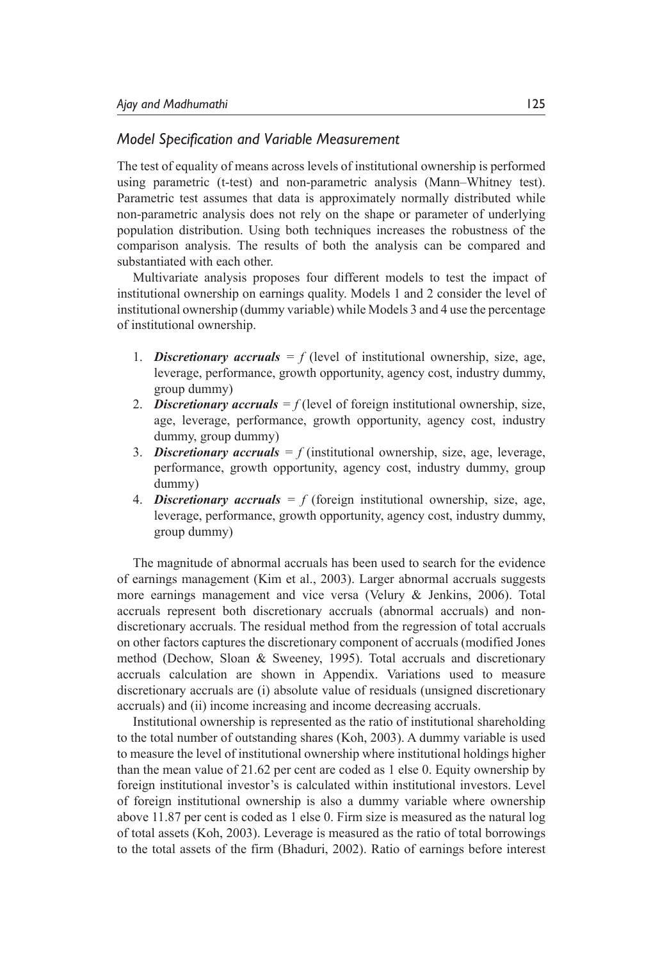# *Model Specification and Variable Measurement*

The test of equality of means across levels of institutional ownership is performed using parametric (t-test) and non-parametric analysis (Mann–Whitney test). Parametric test assumes that data is approximately normally distributed while non-parametric analysis does not rely on the shape or parameter of underlying population distribution. Using both techniques increases the robustness of the comparison analysis. The results of both the analysis can be compared and substantiated with each other.

Multivariate analysis proposes four different models to test the impact of institutional ownership on earnings quality. Models 1 and 2 consider the level of institutional ownership (dummy variable) while Models 3 and 4 use the percentage of institutional ownership.

- 1. **Discretionary accruals**  $= f$  (level of institutional ownership, size, age, leverage, performance, growth opportunity, agency cost, industry dummy, group dummy)
- 2. **Discretionary accruals**  $=f$  (level of foreign institutional ownership, size, age, leverage, performance, growth opportunity, agency cost, industry dummy, group dummy)
- 3. *Discretionary accruals = f* (institutional ownership, size, age, leverage, performance, growth opportunity, agency cost, industry dummy, group dummy)
- 4. **Discretionary accruals**  $= f$  (foreign institutional ownership, size, age, leverage, performance, growth opportunity, agency cost, industry dummy, group dummy)

The magnitude of abnormal accruals has been used to search for the evidence of earnings management (Kim et al., 2003). Larger abnormal accruals suggests more earnings management and vice versa (Velury & Jenkins, 2006). Total accruals represent both discretionary accruals (abnormal accruals) and nondiscretionary accruals. The residual method from the regression of total accruals on other factors captures the discretionary component of accruals (modified Jones method (Dechow, Sloan & Sweeney, 1995). Total accruals and discretionary accruals calculation are shown in Appendix. Variations used to measure discretionary accruals are (i) absolute value of residuals (unsigned discretionary accruals) and (ii) income increasing and income decreasing accruals.

Institutional ownership is represented as the ratio of institutional shareholding to the total number of outstanding shares (Koh, 2003). A dummy variable is used to measure the level of institutional ownership where institutional holdings higher than the mean value of 21.62 per cent are coded as 1 else 0. Equity ownership by foreign institutional investor's is calculated within institutional investors. Level of foreign institutional ownership is also a dummy variable where ownership above 11.87 per cent is coded as 1 else 0. Firm size is measured as the natural log of total assets (Koh, 2003). Leverage is measured as the ratio of total borrowings to the total assets of the firm (Bhaduri, 2002). Ratio of earnings before interest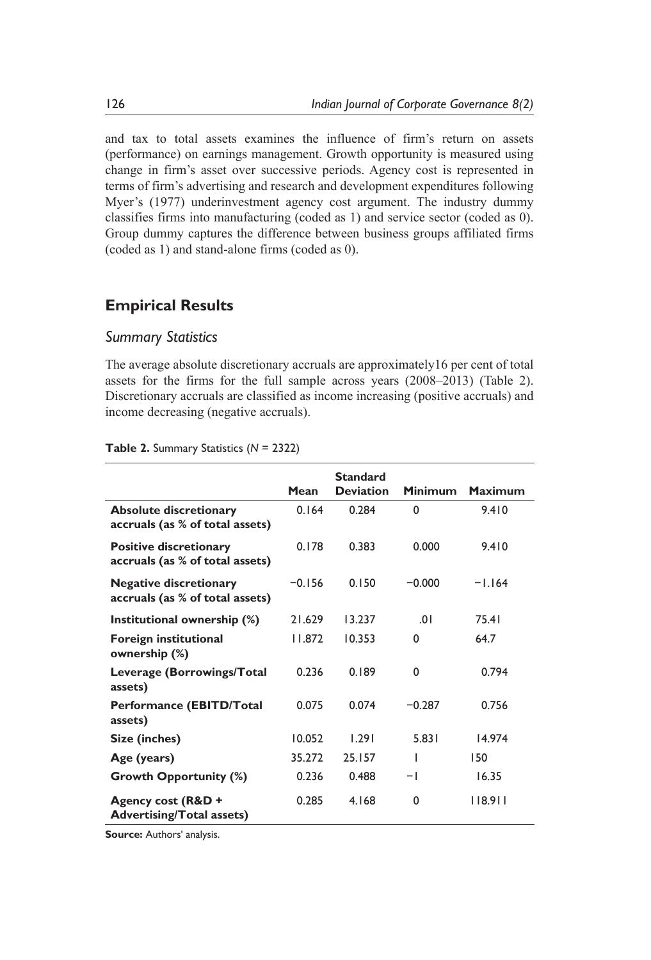and tax to total assets examines the influence of firm's return on assets (performance) on earnings management. Growth opportunity is measured using change in firm's asset over successive periods. Agency cost is represented in terms of firm's advertising and research and development expenditures following Myer's (1977) underinvestment agency cost argument. The industry dummy classifies firms into manufacturing (coded as 1) and service sector (coded as 0). Group dummy captures the difference between business groups affiliated firms (coded as 1) and stand-alone firms (coded as 0).

# **Empirical Results**

### *Summary Statistics*

The average absolute discretionary accruals are approximately16 per cent of total assets for the firms for the full sample across years (2008–2013) (Table 2). Discretionary accruals are classified as income increasing (positive accruals) and income decreasing (negative accruals).

|                                                                  | Mean     | <b>Standard</b><br><b>Deviation</b> | <b>Minimum</b> | <b>Maximum</b> |
|------------------------------------------------------------------|----------|-------------------------------------|----------------|----------------|
| <b>Absolute discretionary</b><br>accruals (as % of total assets) | 0.164    | 0.284                               | 0              | 9.410          |
| <b>Positive discretionary</b><br>accruals (as % of total assets) | 0.178    | 0.383                               | 0.000          | 9.410          |
| <b>Negative discretionary</b><br>accruals (as % of total assets) | $-0.156$ | 0.150                               | $-0.000$       | $-1.164$       |
| Institutional ownership (%)                                      | 21.629   | 13.237                              | .01            | 75.41          |
| <b>Foreign institutional</b><br>ownership (%)                    | 11.872   | 10.353                              | 0              | 64.7           |
| Leverage (Borrowings/Total<br>assets)                            | 0.236    | 0.189                               | 0              | 0.794          |
| <b>Performance (EBITD/Total</b><br>assets)                       | 0.075    | 0.074                               | $-0.287$       | 0.756          |
| Size (inches)                                                    | 10.052   | 1.291                               | 5.831          | 14.974         |
| Age (years)                                                      | 35.272   | 25.157                              | ı              | 150            |
| <b>Growth Opportunity (%)</b>                                    | 0.236    | 0.488                               | -1             | 16.35          |
| Agency cost (R&D +<br><b>Advertising/Total assets)</b>           | 0.285    | 4.168                               | 0              | 18.911         |

**Table 2.** Summary Statistics (*N* = 2322)

**Source:** Authors' analysis.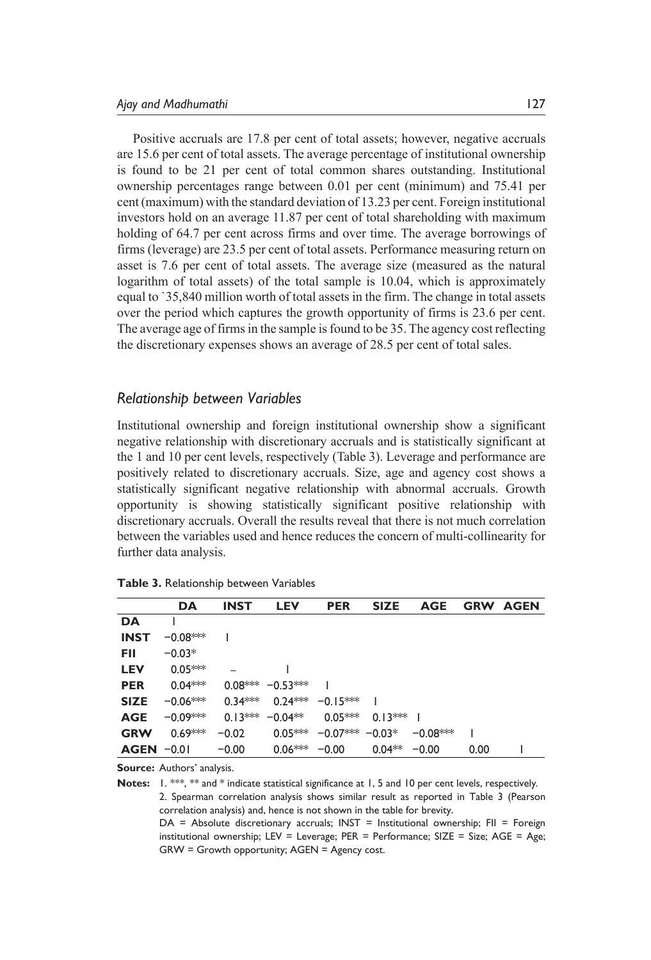Positive accruals are 17.8 per cent of total assets; however, negative accruals are 15.6 per cent of total assets. The average percentage of institutional ownership is found to be 21 per cent of total common shares outstanding. Institutional ownership percentages range between 0.01 per cent (minimum) and 75.41 per cent (maximum) with the standard deviation of 13.23 per cent. Foreign institutional investors hold on an average 11.87 per cent of total shareholding with maximum holding of 64.7 per cent across firms and over time. The average borrowings of firms (leverage) are 23.5 per cent of total assets. Performance measuring return on asset is 7.6 per cent of total assets. The average size (measured as the natural logarithm of total assets) of the total sample is 10.04, which is approximately equal to `35,840 million worth of total assets in the firm. The change in total assets over the period which captures the growth opportunity of firms is 23.6 per cent. The average age of firms in the sample is found to be 35. The agency cost reflecting the discretionary expenses shows an average of 28.5 per cent of total sales.

### *Relationship between Variables*

Institutional ownership and foreign institutional ownership show a significant negative relationship with discretionary accruals and is statistically significant at the 1 and 10 per cent levels, respectively (Table 3). Leverage and performance are positively related to discretionary accruals. Size, age and agency cost shows a statistically significant negative relationship with abnormal accruals. Growth opportunity is showing statistically significant positive relationship with discretionary accruals. Overall the results reveal that there is not much correlation between the variables used and hence reduces the concern of multi-collinearity for further data analysis.

|              | DA         | <b>INST</b> | <b>LEV</b>         | <b>PER</b>                               | <b>SIZE</b> | <b>AGE</b> |      | <b>GRW AGEN</b> |
|--------------|------------|-------------|--------------------|------------------------------------------|-------------|------------|------|-----------------|
| DA           |            |             |                    |                                          |             |            |      |                 |
| <b>INST</b>  | $-0.08***$ |             |                    |                                          |             |            |      |                 |
| FII          | $-0.03*$   |             |                    |                                          |             |            |      |                 |
| <b>LEV</b>   | $0.05***$  |             |                    |                                          |             |            |      |                 |
| <b>PER</b>   | $0.04***$  |             | $0.08*** -0.53***$ |                                          |             |            |      |                 |
| <b>SIZE</b>  | $-0.06***$ | $0.34***$   |                    | $0.24***$ -0.15***                       |             |            |      |                 |
| AGE          | $-0.09***$ |             | $0.13*** -0.04**$  | $0.05***$                                | $0.13***$ 1 |            |      |                 |
| <b>GRW</b>   | $0.69***$  | $-0.02$     |                    | $0.05***$ $-0.07***$ $-0.03*$ $-0.08***$ |             |            |      |                 |
| $AGEN -0.01$ |            | $-0.00$     | $0.06*** -0.00$    |                                          | $0.04**$    | $-0.00$    | 0.00 |                 |

**Table 3.** Relationship between Variables

**Source:** Authors' analysis.

**Notes:** 1. *\*\*\**, *\*\** and \* indicate statistical significance at 1, 5 and 10 per cent levels, respectively*.* 2. Spearman correlation analysis shows similar result as reported in Table 3 (Pearson correlation analysis) and, hence is not shown in the table for brevity.  $DA = Absolute$  discretionary accruals; INST = Institutional ownership; FII = Foreign institutional ownership; LEV = Leverage; PER = Performance; SIZE = Size; AGE = Age; GRW = Growth opportunity; AGEN = Agency cost.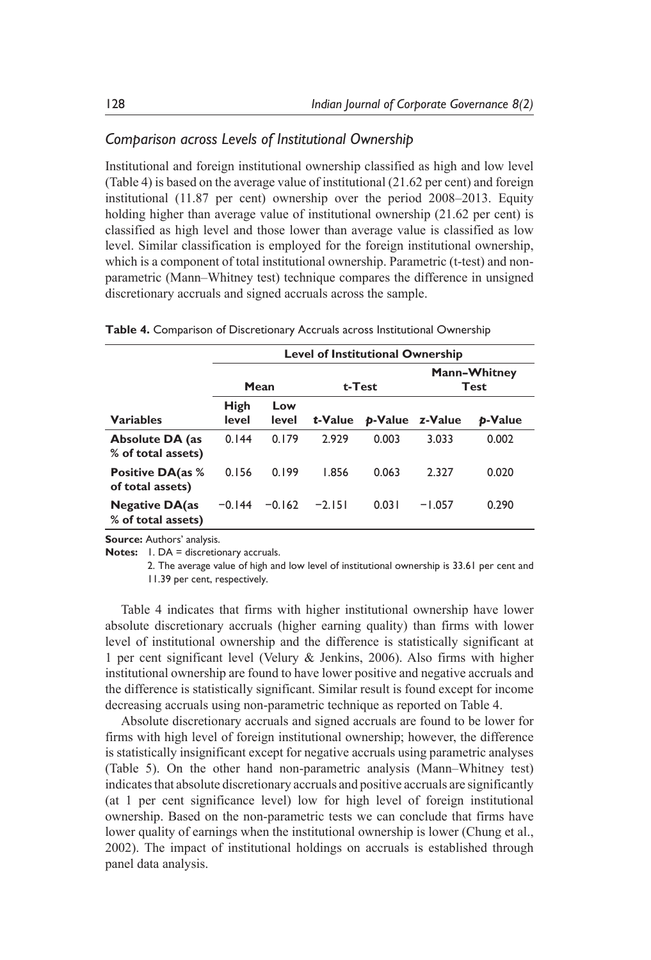### *Comparison across Levels of Institutional Ownership*

Institutional and foreign institutional ownership classified as high and low level (Table 4) is based on the average value of institutional (21.62 per cent) and foreign institutional (11.87 per cent) ownership over the period 2008–2013. Equity holding higher than average value of institutional ownership (21.62 per cent) is classified as high level and those lower than average value is classified as low level. Similar classification is employed for the foreign institutional ownership, which is a component of total institutional ownership. Parametric (t-test) and nonparametric (Mann–Whitney test) technique compares the difference in unsigned discretionary accruals and signed accruals across the sample.

|                                              |             | Level of Institutional Ownership |          |                |          |                     |  |
|----------------------------------------------|-------------|----------------------------------|----------|----------------|----------|---------------------|--|
|                                              |             |                                  |          |                |          | <b>Mann-Whitney</b> |  |
|                                              |             | Mean                             |          | t-Test         |          | <b>Test</b>         |  |
|                                              | <b>High</b> | Low                              |          |                |          |                     |  |
| <b>Variables</b>                             | level       | level                            | t-Value  | <b>p-Value</b> | z-Value  | <b>p-Value</b>      |  |
| <b>Absolute DA (as</b><br>% of total assets) | 0.144       | 0.179                            | 2.929    | 0.003          | 3.033    | 0.002               |  |
| Positive DA(as %<br>of total assets)         | 0.156       | 0.199                            | 1.856    | 0.063          | 2.327    | 0.020               |  |
| <b>Negative DA(as</b><br>% of total assets)  | $-0.144$    | $-0.162$                         | $-2.151$ | 0.031          | $-1.057$ | 0.290               |  |

|  |  | <b>Table 4.</b> Comparison of Discretionary Accruals across Institutional Ownership |  |  |  |
|--|--|-------------------------------------------------------------------------------------|--|--|--|
|--|--|-------------------------------------------------------------------------------------|--|--|--|

**Source:** Authors' analysis.

**Notes:** 1. DA = discretionary accruals.

 2. The average value of high and low level of institutional ownership is 33.61 per cent and 11.39 per cent, respectively.

Table 4 indicates that firms with higher institutional ownership have lower absolute discretionary accruals (higher earning quality) than firms with lower level of institutional ownership and the difference is statistically significant at 1 per cent significant level (Velury & Jenkins, 2006). Also firms with higher institutional ownership are found to have lower positive and negative accruals and the difference is statistically significant. Similar result is found except for income decreasing accruals using non-parametric technique as reported on Table 4.

Absolute discretionary accruals and signed accruals are found to be lower for firms with high level of foreign institutional ownership; however, the difference is statistically insignificant except for negative accruals using parametric analyses (Table 5). On the other hand non-parametric analysis (Mann–Whitney test) indicates that absolute discretionary accruals and positive accruals are significantly (at 1 per cent significance level) low for high level of foreign institutional ownership. Based on the non-parametric tests we can conclude that firms have lower quality of earnings when the institutional ownership is lower (Chung et al., 2002). The impact of institutional holdings on accruals is established through panel data analysis.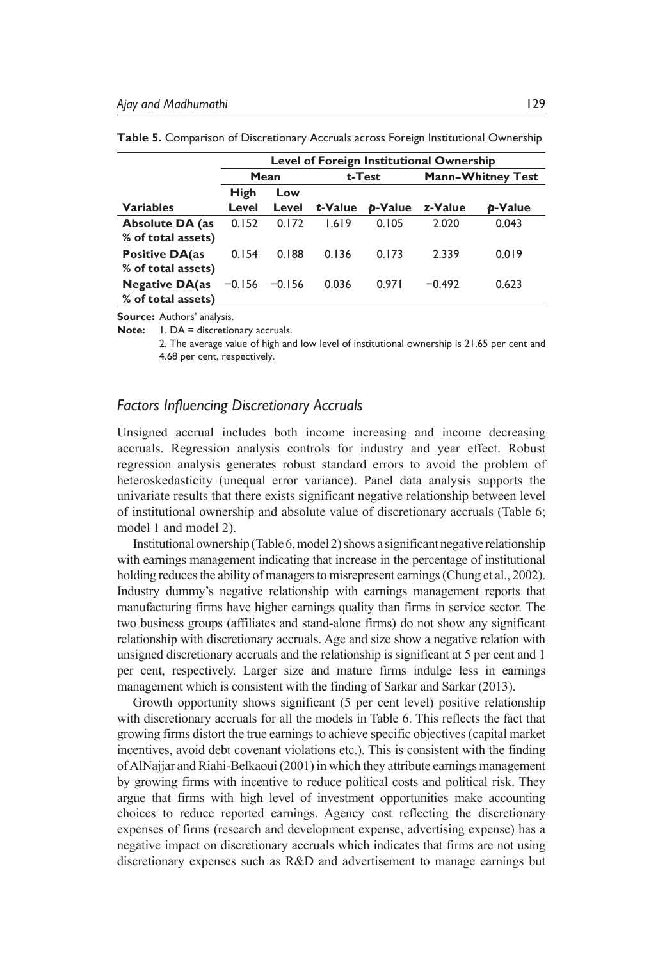|                        | <b>Level of Foreign Institutional Ownership</b> |          |         |                |                          |                |
|------------------------|-------------------------------------------------|----------|---------|----------------|--------------------------|----------------|
|                        | Mean                                            |          | t-Test  |                | <b>Mann-Whitney Test</b> |                |
|                        | <b>High</b>                                     | Low      |         |                |                          |                |
| <b>Variables</b>       | Level                                           | Level    | t-Value | <b>p-Value</b> | z-Value                  | <b>p-Value</b> |
| <b>Absolute DA (as</b> | 0.152                                           | 0.172    | 1.619   | 0.105          | 2.020                    | 0.043          |
| % of total assets)     |                                                 |          |         |                |                          |                |
| <b>Positive DA(as</b>  | 0.154                                           | 0.188    | 0.136   | 0.173          | 2.339                    | 0.019          |
| % of total assets)     |                                                 |          |         |                |                          |                |
| <b>Negative DA(as</b>  | $-0.156$                                        | $-0.156$ | 0.036   | 0.971          | $-0.492$                 | 0.623          |
| % of total assets)     |                                                 |          |         |                |                          |                |
|                        |                                                 |          |         |                |                          |                |

**Table 5.** Comparison of Discretionary Accruals across Foreign Institutional Ownership

**Source:** Authors' analysis.

**Note:** 1. DA = discretionary accruals.

 2. The average value of high and low level of institutional ownership is 21.65 per cent and 4.68 per cent, respectively.

### *Factors Influencing Discretionary Accruals*

Unsigned accrual includes both income increasing and income decreasing accruals. Regression analysis controls for industry and year effect. Robust regression analysis generates robust standard errors to avoid the problem of heteroskedasticity (unequal error variance). Panel data analysis supports the univariate results that there exists significant negative relationship between level of institutional ownership and absolute value of discretionary accruals (Table 6; model 1 and model 2).

Institutional ownership (Table 6, model 2) shows a significant negative relationship with earnings management indicating that increase in the percentage of institutional holding reduces the ability of managers to misrepresent earnings (Chung et al., 2002). Industry dummy's negative relationship with earnings management reports that manufacturing firms have higher earnings quality than firms in service sector. The two business groups (affiliates and stand-alone firms) do not show any significant relationship with discretionary accruals. Age and size show a negative relation with unsigned discretionary accruals and the relationship is significant at 5 per cent and 1 per cent, respectively. Larger size and mature firms indulge less in earnings management which is consistent with the finding of Sarkar and Sarkar (2013).

Growth opportunity shows significant (5 per cent level) positive relationship with discretionary accruals for all the models in Table 6. This reflects the fact that growing firms distort the true earnings to achieve specific objectives (capital market incentives, avoid debt covenant violations etc.). This is consistent with the finding of AlNajjar and Riahi-Belkaoui (2001) in which they attribute earnings management by growing firms with incentive to reduce political costs and political risk. They argue that firms with high level of investment opportunities make accounting choices to reduce reported earnings. Agency cost reflecting the discretionary expenses of firms (research and development expense, advertising expense) has a negative impact on discretionary accruals which indicates that firms are not using discretionary expenses such as R&D and advertisement to manage earnings but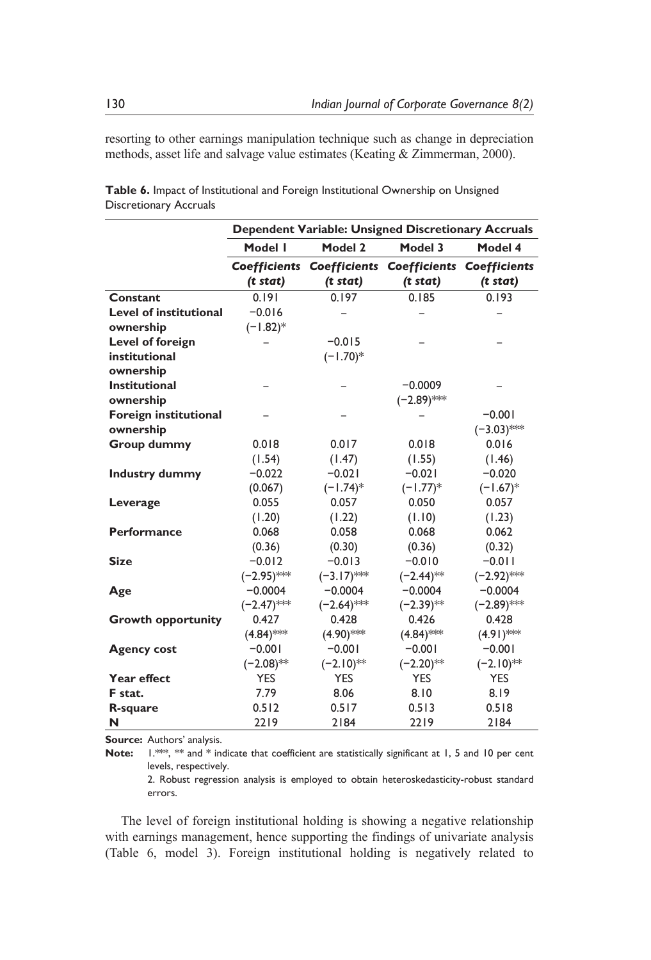resorting to other earnings manipulation technique such as change in depreciation methods, asset life and salvage value estimates (Keating & Zimmerman, 2000).

|                               | Dependent Variable: Unsigned Discretionary Accruals |                                                     |              |               |  |
|-------------------------------|-----------------------------------------------------|-----------------------------------------------------|--------------|---------------|--|
|                               | Model I                                             | Model 2                                             | Model 3      | Model 4       |  |
|                               |                                                     | Coefficients Coefficients Coefficients Coefficients |              |               |  |
|                               | (t stat)                                            | (t stat)                                            | (t stat)     | (t stat)      |  |
| <b>Constant</b>               | 0.191                                               | 0.197                                               | 0.185        | 0.193         |  |
| <b>Level of institutional</b> | $-0.016$                                            |                                                     |              |               |  |
| ownership                     | $(-1.82)*$                                          |                                                     |              |               |  |
| Level of foreign              |                                                     | $-0.015$                                            |              |               |  |
| institutional                 |                                                     | $(-1.70)^*$                                         |              |               |  |
| ownership                     |                                                     |                                                     |              |               |  |
| <b>Institutional</b>          |                                                     |                                                     | $-0.0009$    |               |  |
| ownership                     |                                                     |                                                     | $(-2.89)$ ** |               |  |
| <b>Foreign institutional</b>  |                                                     |                                                     |              | $-0.001$      |  |
| ownership                     |                                                     |                                                     |              | $(-3.03)$ *** |  |
| <b>Group dummy</b>            | 0.018                                               | 0.017                                               | 0.018        | 0.016         |  |
|                               | (1.54)                                              | (1.47)                                              | (1.55)       | (1.46)        |  |
| <b>Industry dummy</b>         | $-0.022$                                            | $-0.021$                                            | $-0.021$     | $-0.020$      |  |
|                               | (0.067)                                             | $(-1.74)^*$                                         | $(-1.77)^*$  | $(-1.67)^*$   |  |
| Leverage                      | 0.055                                               | 0.057                                               | 0.050        | 0.057         |  |
|                               | (1.20)                                              | (1.22)                                              | (1.10)       | (1.23)        |  |
| <b>Performance</b>            | 0.068                                               | 0.058                                               | 0.068        | 0.062         |  |
|                               | (0.36)                                              | (0.30)                                              | (0.36)       | (0.32)        |  |
| <b>Size</b>                   | $-0.012$                                            | $-0.013$                                            | $-0.010$     | $-0.011$      |  |
|                               | $(-2.95)$ ***                                       | $(-3.17)$ ***                                       | $(-2.44)$ ** | $(-2.92)$ *** |  |
| Age                           | $-0.0004$                                           | $-0.0004$                                           | $-0.0004$    | $-0.0004$     |  |
|                               | $(-2.47)$ ***                                       | $(-2.64)$ ***                                       | $(-2.39)$ ** | $(-2.89)$ *** |  |
| <b>Growth opportunity</b>     | 0.427                                               | 0.428                                               | 0.426        | 0.428         |  |
|                               | $(4.84)$ ***                                        | $(4.90)$ ***                                        | $(4.84)$ *** | $(4.91)$ **   |  |
| <b>Agency cost</b>            | $-0.001$                                            | $-0.001$                                            | $-0.001$     | $-0.001$      |  |
|                               | $(-2.08)$ **                                        | $(-2.10)$ **                                        | $(-2.20)$ ** | $(-2.10)$ **  |  |
| <b>Year effect</b>            | <b>YES</b>                                          | <b>YES</b>                                          | <b>YES</b>   | <b>YES</b>    |  |
| F stat.                       | 7.79                                                | 8.06                                                | 8.10         | 8.19          |  |
| R-square                      | 0.512                                               | 0.517                                               | 0.513        | 0.518         |  |
| N                             | 2219                                                | 2184                                                | 2219         | 2184          |  |

**Table 6.** Impact of Institutional and Foreign Institutional Ownership on Unsigned Discretionary Accruals

**Source:** Authors' analysis.

**Note:** 1.\*\*\*, *\*\** and \* indicate that coefficient are statistically significant at 1, 5 and 10 per cent levels, respectively.

 2. Robust regression analysis is employed to obtain heteroskedasticity-robust standard errors.

The level of foreign institutional holding is showing a negative relationship with earnings management, hence supporting the findings of univariate analysis (Table 6, model 3). Foreign institutional holding is negatively related to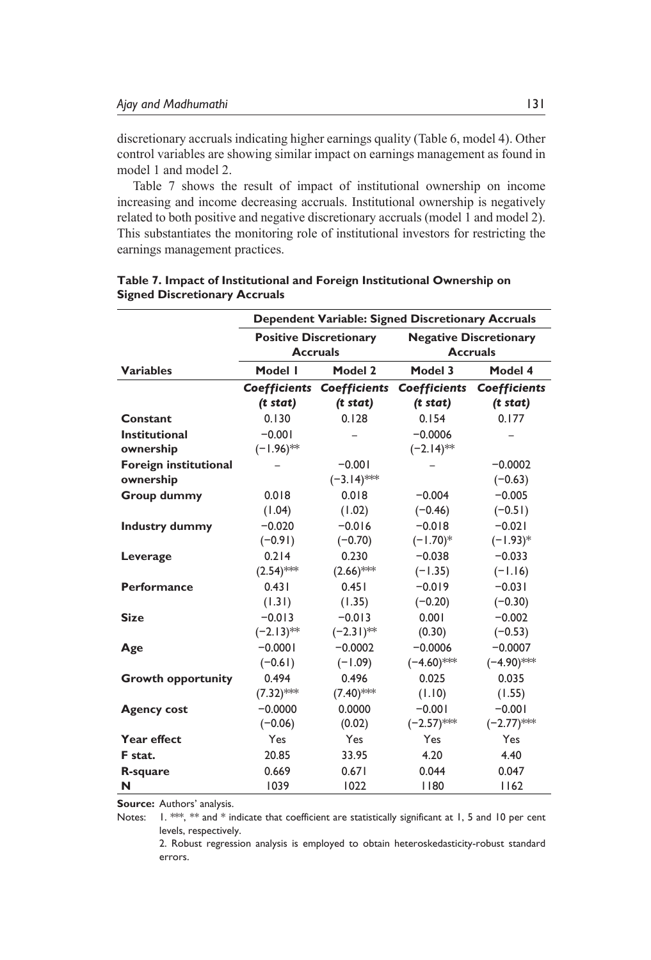discretionary accruals indicating higher earnings quality (Table 6, model 4). Other control variables are showing similar impact on earnings management as found in model 1 and model 2.

Table 7 shows the result of impact of institutional ownership on income increasing and income decreasing accruals. Institutional ownership is negatively related to both positive and negative discretionary accruals (model 1 and model 2). This substantiates the monitoring role of institutional investors for restricting the earnings management practices.

|                           | Dependent Variable: Signed Discretionary Accruals |                                  |                     |                               |  |
|---------------------------|---------------------------------------------------|----------------------------------|---------------------|-------------------------------|--|
|                           | <b>Positive Discretionary</b><br><b>Accruals</b>  |                                  | <b>Accruals</b>     | <b>Negative Discretionary</b> |  |
| <b>Variables</b>          | Model I                                           | Model 2                          | Model 3             | Model 4                       |  |
|                           |                                                   | <b>Coefficients Coefficients</b> | <b>Coefficients</b> | <b>Coefficients</b>           |  |
|                           | (t stat)                                          | (t stat)                         | (t stat)            | (t stat)                      |  |
| Constant                  | 0.130                                             | 0.128                            | 0.154               | 0.177                         |  |
| <b>Institutional</b>      | $-0.001$                                          |                                  | $-0.0006$           |                               |  |
| ownership                 | $(-1.96)$ **                                      |                                  | $(-2.14)$ **        |                               |  |
| Foreign institutional     |                                                   | $-0.001$                         |                     | $-0.0002$                     |  |
| ownership                 |                                                   | $(-3.14)$ ***                    |                     | $(-0.63)$                     |  |
| <b>Group dummy</b>        | 0.018                                             | 0.018                            | $-0.004$            | $-0.005$                      |  |
|                           | (1.04)                                            | (1.02)                           | $(-0.46)$           | $(-0.51)$                     |  |
| Industry dummy            | $-0.020$                                          | $-0.016$                         | $-0.018$            | $-0.021$                      |  |
|                           | $(-0.91)$                                         | $(-0.70)$                        | $(-1.70)^*$         | $(-1.93)*$                    |  |
| Leverage                  | 0.214                                             | 0.230                            | $-0.038$            | $-0.033$                      |  |
|                           | $(2.54)$ ***                                      | $(2.66)$ ***                     | $(-1.35)$           | $(-1.16)$                     |  |
| Performance               | 0.431                                             | 0.451                            | $-0.019$            | $-0.031$                      |  |
|                           | (1.31)                                            | (1.35)                           | $(-0.20)$           | $(-0.30)$                     |  |
| <b>Size</b>               | $-0.013$                                          | $-0.013$                         | 0.001               | $-0.002$                      |  |
|                           | $(-2.13)$ **                                      | $(-2.31)$ **                     | (0.30)              | $(-0.53)$                     |  |
| Age                       | $-0.0001$                                         | $-0.0002$                        | $-0.0006$           | $-0.0007$                     |  |
|                           | $(-0.61)$                                         | $(-1.09)$                        | $(-4.60)$ ***       | $(-4.90)$ ***                 |  |
| <b>Growth opportunity</b> | 0.494                                             | 0.496                            | 0.025               | 0.035                         |  |
|                           | $(7.32)$ ***                                      | $(7.40)$ ***                     | (1.10)              | (1.55)                        |  |
| <b>Agency cost</b>        | $-0.0000$                                         | 0.0000                           | $-0.001$            | $-0.001$                      |  |
|                           | $(-0.06)$                                         | (0.02)                           | $(-2.57)$ ***       | $(-2.77)$ ***                 |  |
| Year effect               | Yes                                               | Yes                              | Yes                 | Yes                           |  |
| F stat.                   | 20.85                                             | 33.95                            | 4.20                | 4.40                          |  |
| R-square                  | 0.669                                             | 0.671                            | 0.044               | 0.047                         |  |
| N                         | 1039                                              | 1022                             | 1180                | 1162                          |  |

### **Table 7. Impact of Institutional and Foreign Institutional Ownership on Signed Discretionary Accruals**

**Source:** Authors' analysis.

Notes: I. \*\*\*, \*\* and \* indicate that coefficient are statistically significant at I, 5 and 10 per cent levels, respectively.

 <sup>2.</sup> Robust regression analysis is employed to obtain heteroskedasticity-robust standard errors.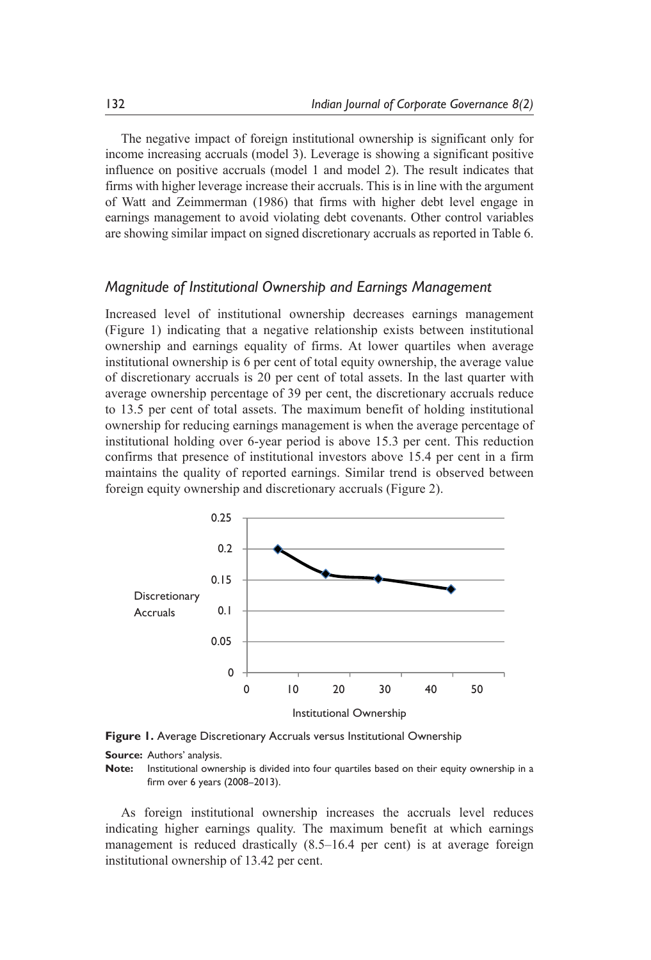The negative impact of foreign institutional ownership is significant only for income increasing accruals (model 3). Leverage is showing a significant positive influence on positive accruals (model 1 and model 2). The result indicates that firms with higher leverage increase their accruals. This is in line with the argument of Watt and Zeimmerman (1986) that firms with higher debt level engage in earnings management to avoid violating debt covenants. Other control variables are showing similar impact on signed discretionary accruals as reported in Table 6.

### *Magnitude of Institutional Ownership and Earnings Management*

Increased level of institutional ownership decreases earnings management (Figure 1) indicating that a negative relationship exists between institutional ownership and earnings equality of firms. At lower quartiles when average institutional ownership is 6 per cent of total equity ownership, the average value of discretionary accruals is 20 per cent of total assets. In the last quarter with average ownership percentage of 39 per cent, the discretionary accruals reduce to 13.5 per cent of total assets. The maximum benefit of holding institutional ownership for reducing earnings management is when the average percentage of institutional holding over 6-year period is above 15.3 per cent. This reduction confirms that presence of institutional investors above 15.4 per cent in a firm maintains the quality of reported earnings. Similar trend is observed between foreign equity ownership and discretionary accruals (Figure 2).



**Figure 1.** Average Discretionary Accruals versus Institutional Ownership

**Source:** Authors' analysis.

**Note:** Institutional ownership is divided into four quartiles based on their equity ownership in a firm over 6 years (2008–2013).

As foreign institutional ownership increases the accruals level reduces indicating higher earnings quality. The maximum benefit at which earnings management is reduced drastically (8.5–16.4 per cent) is at average foreign institutional ownership of 13.42 per cent.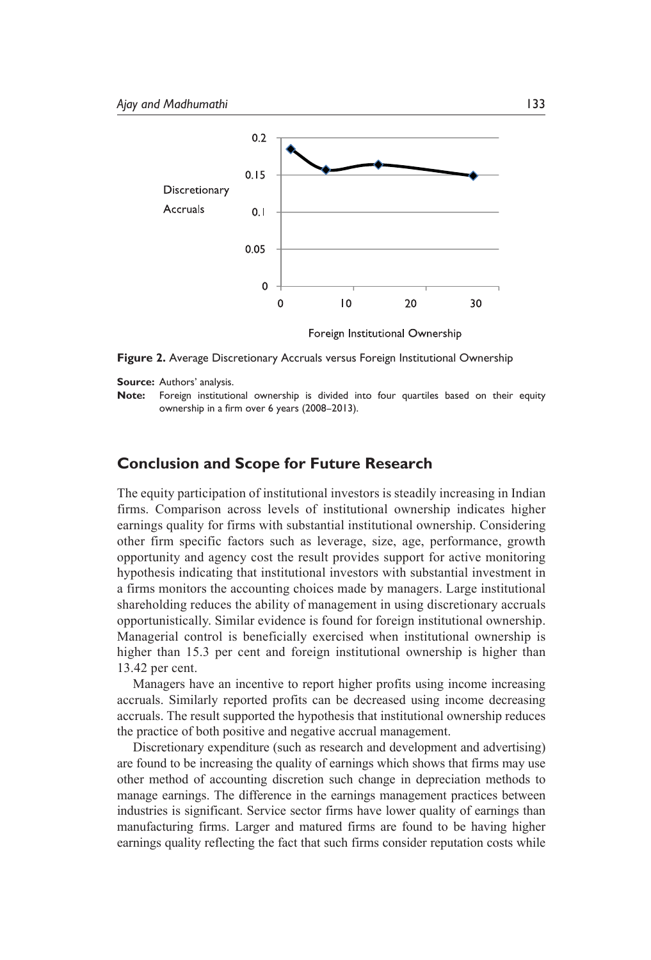

**Figure 2.** Average Discretionary Accruals versus Foreign Institutional Ownership

**Source:** Authors' analysis.

**Note:** Foreign institutional ownership is divided into four quartiles based on their equity ownership in a firm over 6 years (2008–2013).

# **Conclusion and Scope for Future Research**

The equity participation of institutional investors is steadily increasing in Indian firms. Comparison across levels of institutional ownership indicates higher earnings quality for firms with substantial institutional ownership. Considering other firm specific factors such as leverage, size, age, performance, growth opportunity and agency cost the result provides support for active monitoring hypothesis indicating that institutional investors with substantial investment in a firms monitors the accounting choices made by managers. Large institutional shareholding reduces the ability of management in using discretionary accruals opportunistically. Similar evidence is found for foreign institutional ownership. Managerial control is beneficially exercised when institutional ownership is higher than 15.3 per cent and foreign institutional ownership is higher than 13.42 per cent.

Managers have an incentive to report higher profits using income increasing accruals. Similarly reported profits can be decreased using income decreasing accruals. The result supported the hypothesis that institutional ownership reduces the practice of both positive and negative accrual management.

Discretionary expenditure (such as research and development and advertising) are found to be increasing the quality of earnings which shows that firms may use other method of accounting discretion such change in depreciation methods to manage earnings. The difference in the earnings management practices between industries is significant. Service sector firms have lower quality of earnings than manufacturing firms. Larger and matured firms are found to be having higher earnings quality reflecting the fact that such firms consider reputation costs while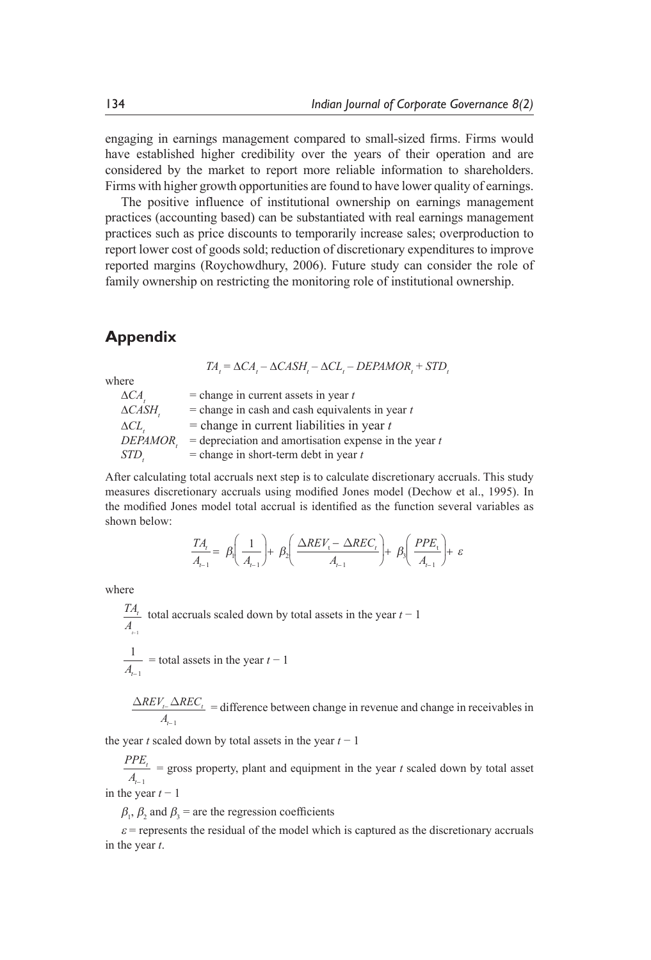engaging in earnings management compared to small-sized firms. Firms would have established higher credibility over the years of their operation and are considered by the market to report more reliable information to shareholders. Firms with higher growth opportunities are found to have lower quality of earnings.

The positive influence of institutional ownership on earnings management practices (accounting based) can be substantiated with real earnings management practices such as price discounts to temporarily increase sales; overproduction to report lower cost of goods sold; reduction of discretionary expenditures to improve reported margins (Roychowdhury, 2006). Future study can consider the role of family ownership on restricting the monitoring role of institutional ownership.

# **Appendix**

|                  | $TA_{i} = \Delta CA_{i} - \Delta CASH_{i} - \Delta CL_{i} - DEPAMOR_{i} + STD_{i}$ |
|------------------|------------------------------------------------------------------------------------|
| where            |                                                                                    |
| $\Delta CA$      | $=$ change in current assets in year $t$                                           |
| $\triangle CASH$ | $=$ change in cash and cash equivalents in year $t$                                |
| $\Delta CL$      | $=$ change in current liabilities in year $t$                                      |
| DEPAMOR.         | $=$ depreciation and amortisation expense in the year $t$                          |
| STD <sub>.</sub> | $=$ change in short-term debt in year $t$                                          |

After calculating total accruals next step is to calculate discretionary accruals. This study measures discretionary accruals using modified Jones model (Dechow et al., 1995). In the modified Jones model total accrual is identified as the function several variables as shown below:

$$
\frac{TA_{\text{r}}}{A_{\text{r-1}}} = \text{ }\beta_{{\text{l}}}\!\!\left(\frac{1}{A_{\text{r-1}}}\!\right)\!\!+\text{ }\beta_{{\text{2}}}\!\!\left(\frac{\Delta REV_{\text{r}}-\Delta REC_{\text{r}}}{A_{\text{r-1}}}\!\right)\!\!+\text{ }\beta_{{\text{3}}}\!\!\left(\frac{PPE_{\text{t}}}{A_{\text{r-1}}}\!\right)\!\!+\text{ }\varepsilon
$$

where

*TA*  $\frac{H_1}{A_1}$  total accruals scaled down by total assets in the year *t* − 1 *t*−1 1  $\frac{1}{A_{t-1}}$  = total assets in the year *t* − 1

 $\triangle REV$ <sub>r</sub>  $\triangle REC$  $\frac{t}{A_{t-1}}$ *t* − − 1 = difference between change in revenue and change in receivables in

the year *t* scaled down by total assets in the year  $t - 1$ 

*PPE*  $\frac{1}{A_{t-1}}$ *t*− 1  $=$  gross property, plant and equipment in the year  $t$  scaled down by total asset

in the year  $t - 1$ 

 $\beta_1$ ,  $\beta_2$  and  $\beta_3$  = are the regression coefficients

 $\varepsilon$  = represents the residual of the model which is captured as the discretionary accruals in the year *t*.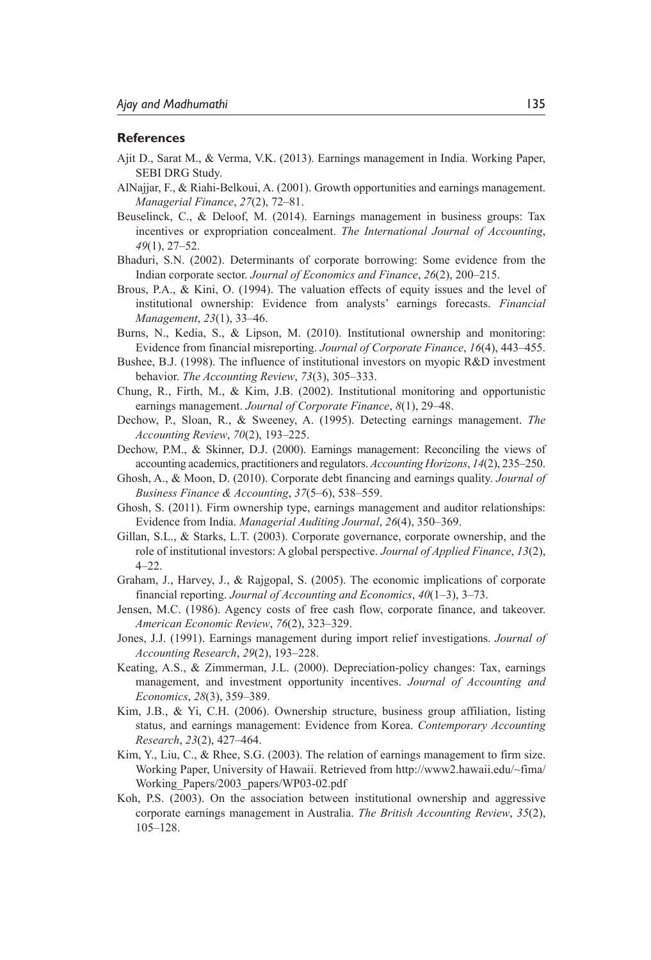#### **References**

- Ajit D., Sarat M., & Verma, V.K. (2013). Earnings management in India. Working Paper, SEBI DRG Study.
- AlNajjar, F., & Riahi-Belkoui, A. (2001). Growth opportunities and earnings management. *Managerial Finance*, *27*(2), 72–81.
- Beuselinck, C., & Deloof, M. (2014). Earnings management in business groups: Tax incentives or expropriation concealment. *The International Journal of Accounting*, *49*(1), 27–52.
- Bhaduri, S.N. (2002). Determinants of corporate borrowing: Some evidence from the Indian corporate sector. *Journal of Economics and Finance*, *26*(2), 200–215.
- Brous, P.A., & Kini, O. (1994). The valuation effects of equity issues and the level of institutional ownership: Evidence from analysts' earnings forecasts. *Financial Management*, *23*(1), 33–46.
- Burns, N., Kedia, S., & Lipson, M. (2010). Institutional ownership and monitoring: Evidence from financial misreporting. *Journal of Corporate Finance*, *16*(4), 443–455.
- Bushee, B.J. (1998). The influence of institutional investors on myopic R&D investment behavior. *The Accounting Review*, *73*(3), 305–333.
- Chung, R., Firth, M., & Kim, J.B. (2002). Institutional monitoring and opportunistic earnings management. *Journal of Corporate Finance*, *8*(1), 29–48.
- Dechow, P., Sloan, R., & Sweeney, A. (1995). Detecting earnings management. *The Accounting Review*, *70*(2), 193–225.
- Dechow, P.M., & Skinner, D.J. (2000). Earnings management: Reconciling the views of accounting academics, practitioners and regulators. *Accounting Horizons*, *14*(2), 235–250.
- Ghosh, A., & Moon, D. (2010). Corporate debt financing and earnings quality. *Journal of Business Finance & Accounting*, *37*(5–6), 538–559.
- Ghosh, S. (2011). Firm ownership type, earnings management and auditor relationships: Evidence from India. *Managerial Auditing Journal*, *26*(4), 350–369.
- Gillan, S.L., & Starks, L.T. (2003). Corporate governance, corporate ownership, and the role of institutional investors: A global perspective. *Journal of Applied Finance*, *13*(2), 4–22.
- Graham, J., Harvey, J., & Rajgopal, S. (2005). The economic implications of corporate financial reporting. *Journal of Accounting and Economics*, *40*(1–3), 3–73.
- Jensen, M.C. (1986). Agency costs of free cash flow, corporate finance, and takeover. *American Economic Review*, *76*(2), 323–329.
- Jones, J.J. (1991). Earnings management during import relief investigations. *Journal of Accounting Research*, *29*(2), 193–228.
- Keating, A.S., & Zimmerman, J.L. (2000). Depreciation-policy changes: Tax, earnings management, and investment opportunity incentives. *Journal of Accounting and Economics*, *28*(3), 359–389.
- Kim, J.B., & Yi, C.H. (2006). Ownership structure, business group affiliation, listing status, and earnings management: Evidence from Korea. *Contemporary Accounting Research*, *23*(2), 427–464.
- Kim, Y., Liu, C., & Rhee, S.G. (2003). The relation of earnings management to firm size. Working Paper, University of Hawaii. Retrieved from http://www2.hawaii.edu/~fima/ Working\_Papers/2003\_papers/WP03-02.pdf
- Koh, P.S. (2003). On the association between institutional ownership and aggressive corporate earnings management in Australia. *The British Accounting Review*, *35*(2), 105–128.